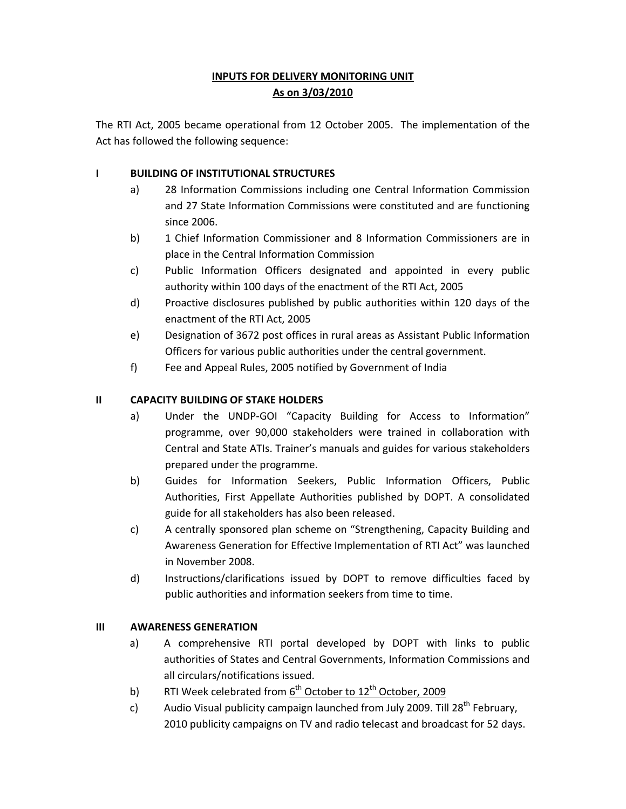# **INPUTS FOR DELIVERY MONITORING UNIT As on 3/03/2010**

The RTI Act, 2005 became operational from 12 October 2005. The implementation of the Act has followed the following sequence:

### **I BUILDING OF INSTITUTIONAL STRUCTURES**

- a) 28 Information Commissions including one Central Information Commission and 27 State Information Commissions were constituted and are functioning since 2006.
- b) 1 Chief Information Commissioner and 8 Information Commissioners are in place in the Central Information Commission
- c) Public Information Officers designated and appointed in every public authority within 100 days of the enactment of the RTI Act, 2005
- d) Proactive disclosures published by public authorities within 120 days of the enactment of the RTI Act, 2005
- e) Designation of 3672 post offices in rural areas as Assistant Public Information Officers for various public authorities under the central government.
- f) Fee and Appeal Rules, 2005 notified by Government of India

## **II CAPACITY BUILDING OF STAKE HOLDERS**

- a) Under the UNDP-GOI "Capacity Building for Access to Information" programme, over 90,000 stakeholders were trained in collaboration with Central and State ATIs. Trainer's manuals and guides for various stakeholders prepared under the programme.
- b) Guides for Information Seekers, Public Information Officers, Public Authorities, First Appellate Authorities published by DOPT. A consolidated guide for all stakeholders has also been released.
- c) A centrally sponsored plan scheme on "Strengthening, Capacity Building and Awareness Generation for Effective Implementation of RTI Act" was launched in November 2008.
- d) Instructions/clarifications issued by DOPT to remove difficulties faced by public authorities and information seekers from time to time.

### **III AWARENESS GENERATION**

- a) A comprehensive RTI portal developed by DOPT with links to public authorities of States and Central Governments, Information Commissions and all circulars/notifications issued.
- b) RTI Week celebrated from  $6<sup>th</sup>$  October to 12<sup>th</sup> October, 2009
- c) Audio Visual publicity campaign launched from July 2009. Till  $28^{th}$  February, 2010 publicity campaigns on TV and radio telecast and broadcast for 52 days.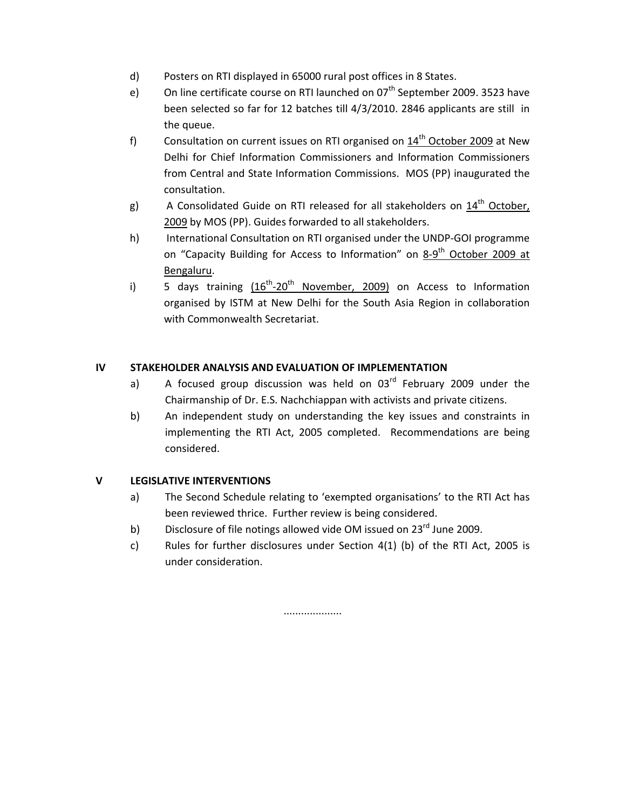- d) Posters on RTI displayed in 65000 rural post offices in 8 States.
- e) On line certificate course on RTI launched on  $07<sup>th</sup>$  September 2009. 3523 have been selected so far for 12 batches till 4/3/2010. 2846 applicants are still in the queue.
- f) Consultation on current issues on RTI organised on  $14<sup>th</sup>$  October 2009 at New Delhi for Chief Information Commissioners and Information Commissioners from Central and State Information Commissions. MOS (PP) inaugurated the consultation.
- g) A Consolidated Guide on RTI released for all stakeholders on  $14<sup>th</sup>$  October, 2009 by MOS (PP). Guides forwarded to all stakeholders.
- h) International Consultation on RTI organised under the UNDP-GOI programme on "Capacity Building for Access to Information" on 8-9<sup>th</sup> October 2009 at Bengaluru.
- i) 5 days training  $(16^{th}-20^{th}$  November, 2009) on Access to Information organised by ISTM at New Delhi for the South Asia Region in collaboration with Commonwealth Secretariat.

### **IV STAKEHOLDER ANALYSIS AND EVALUATION OF IMPLEMENTATION**

- a) A focused group discussion was held on  $03<sup>rd</sup>$  February 2009 under the Chairmanship of Dr. E.S. Nachchiappan with activists and private citizens.
- b) An independent study on understanding the key issues and constraints in implementing the RTI Act, 2005 completed. Recommendations are being considered.

#### **V LEGISLATIVE INTERVENTIONS**

- a) The Second Schedule relating to 'exempted organisations' to the RTI Act has been reviewed thrice. Further review is being considered.
- b) Disclosure of file notings allowed vide OM issued on 23<sup>rd</sup> June 2009.
- c) Rules for further disclosures under Section 4(1) (b) of the RTI Act, 2005 is under consideration.

....................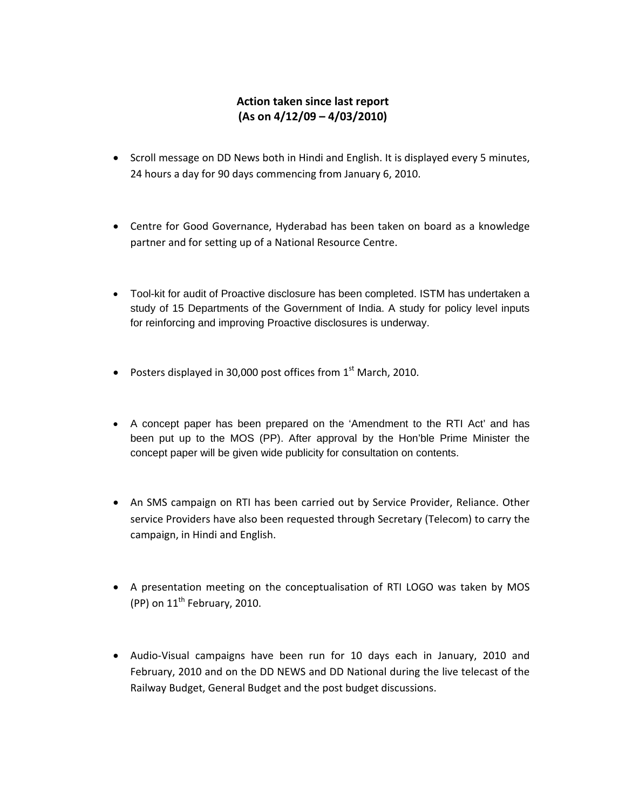# **Action taken since last report (As on 4/12/09 – 4/03/2010)**

- Scroll message on DD News both in Hindi and English. It is displayed every 5 minutes, 24 hours a day for 90 days commencing from January 6, 2010.
- Centre for Good Governance, Hyderabad has been taken on board as a knowledge partner and for setting up of a National Resource Centre.
- Tool-kit for audit of Proactive disclosure has been completed. ISTM has undertaken a study of 15 Departments of the Government of India. A study for policy level inputs for reinforcing and improving Proactive disclosures is underway.
- Posters displayed in 30,000 post offices from  $1<sup>st</sup>$  March, 2010.
- A concept paper has been prepared on the 'Amendment to the RTI Act' and has been put up to the MOS (PP). After approval by the Hon'ble Prime Minister the concept paper will be given wide publicity for consultation on contents.
- An SMS campaign on RTI has been carried out by Service Provider, Reliance. Other service Providers have also been requested through Secretary (Telecom) to carry the campaign, in Hindi and English.
- A presentation meeting on the conceptualisation of RTI LOGO was taken by MOS (PP) on  $11<sup>th</sup>$  February, 2010.
- Audio‐Visual campaigns have been run for 10 days each in January, 2010 and February, 2010 and on the DD NEWS and DD National during the live telecast of the Railway Budget, General Budget and the post budget discussions.